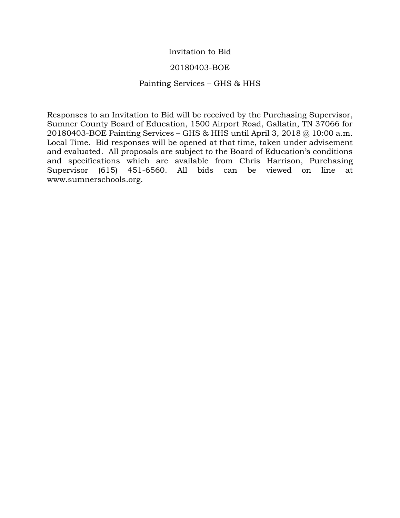# Invitation to Bid

# 20180403-BOE

# Painting Services – GHS & HHS

Responses to an Invitation to Bid will be received by the Purchasing Supervisor, Sumner County Board of Education, 1500 Airport Road, Gallatin, TN 37066 for 20180403-BOE Painting Services – GHS & HHS until April 3, 2018 @ 10:00 a.m. Local Time. Bid responses will be opened at that time, taken under advisement and evaluated. All proposals are subject to the Board of Education's conditions and specifications which are available from Chris Harrison, Purchasing Supervisor (615) 451-6560. All bids can be viewed on line at www.sumnerschools.org.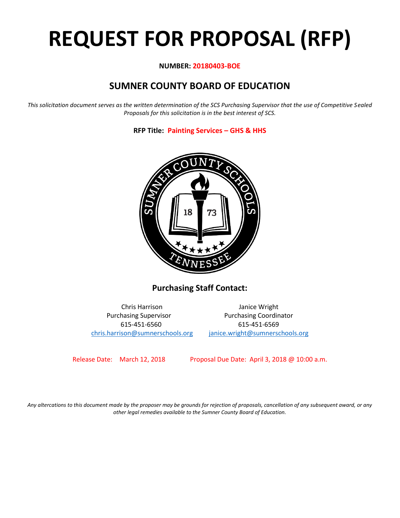# **REQUEST FOR PROPOSAL (RFP)**

# **NUMBER: 20180403-BOE**

# **SUMNER COUNTY BOARD OF EDUCATION**

*This solicitation document serves as the written determination of the SCS Purchasing Supervisor that the use of Competitive Sealed Proposals for this solicitation is in the best interest of SCS.*

**RFP Title: Painting Services – GHS & HHS**



**Purchasing Staff Contact:**

Chris Harrison Janice Wright Purchasing Supervisor **Purchasing Coordinator** 615-451-6560 615-451-6569 [chris.harrison@sumnerschools.org](mailto:chris.harrison@sumnerschools.org) [janice.wright@sumnerschools.org](mailto:janice.wright@sumnerschools.org)

Release Date: March 12, 2018 Proposal Due Date: April 3, 2018 @ 10:00 a.m.

*Any altercations to this document made by the proposer may be grounds for rejection of proposals, cancellation of any subsequent award, or any other legal remedies available to the Sumner County Board of Education.*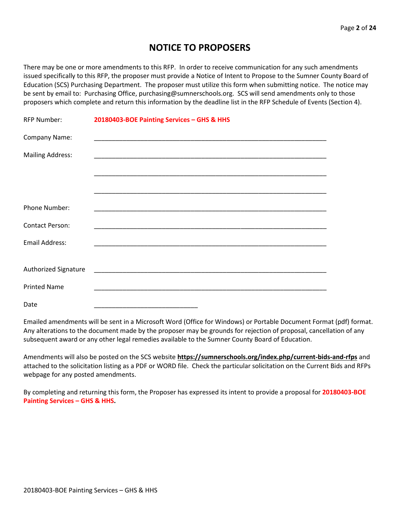# **NOTICE TO PROPOSERS**

There may be one or more amendments to this RFP. In order to receive communication for any such amendments issued specifically to this RFP, the proposer must provide a Notice of Intent to Propose to the Sumner County Board of Education (SCS) Purchasing Department. The proposer must utilize this form when submitting notice. The notice may be sent by email to: Purchasing Office, purchasing@sumnerschools.org. SCS will send amendments only to those proposers which complete and return this information by the deadline list in the RFP Schedule of Events (Section 4).

| <b>RFP Number:</b>          | 20180403-BOE Painting Services - GHS & HHS |
|-----------------------------|--------------------------------------------|
| Company Name:               |                                            |
| <b>Mailing Address:</b>     |                                            |
|                             |                                            |
|                             |                                            |
| Phone Number:               |                                            |
| <b>Contact Person:</b>      |                                            |
| Email Address:              |                                            |
|                             |                                            |
| <b>Authorized Signature</b> |                                            |
| <b>Printed Name</b>         |                                            |
| Date                        |                                            |

Emailed amendments will be sent in a Microsoft Word (Office for Windows) or Portable Document Format (pdf) format. Any alterations to the document made by the proposer may be grounds for rejection of proposal, cancellation of any subsequent award or any other legal remedies available to the Sumner County Board of Education.

Amendments will also be posted on the SCS website **https://sumnerschools.org/index.php/current-bids-and-rfps** and attached to the solicitation listing as a PDF or WORD file. Check the particular solicitation on the Current Bids and RFPs webpage for any posted amendments.

By completing and returning this form, the Proposer has expressed its intent to provide a proposal for **20180403-BOE Painting Services – GHS & HHS.**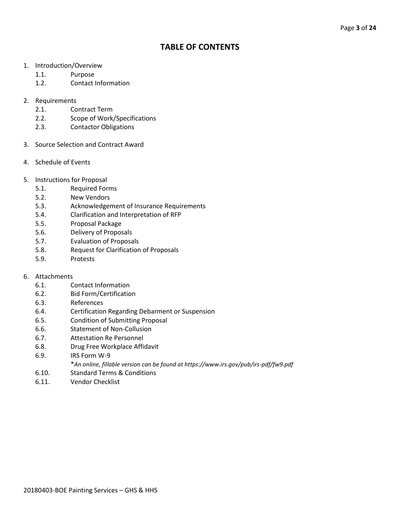# **TABLE OF CONTENTS**

- 1. Introduction/Overview
	- 1.1. Purpose
	- 1.2. Contact Information
- 2. Requirements
	- 2.1. Contract Term
	- 2.2. Scope of Work/Specifications
	- 2.3. Contactor Obligations
- 3. Source Selection and Contract Award
- 4. Schedule of Events
- 5. Instructions for Proposal
	- 5.1. Required Forms
	- 5.2. New Vendors
	- 5.3. Acknowledgement of Insurance Requirements
	- 5.4. Clarification and Interpretation of RFP
	- 5.5. Proposal Package
	- 5.6. Delivery of Proposals
	- 5.7. Evaluation of Proposals
	- 5.8. Request for Clarification of Proposals
	- 5.9. Protests

#### 6. Attachments

- 6.1. Contact Information
- 6.2. Bid Form/Certification
- 6.3. References
- 6.4. Certification Regarding Debarment or Suspension
- 6.5. Condition of Submitting Proposal
- 6.6. Statement of Non-Collusion
- 6.7. Attestation Re Personnel
- 6.8. Drug Free Workplace Affidavit
- 6.9. IRS Form W-9
	- \**An online, fillable version can be found at https://www.irs.gov/pub/irs-pdf/fw9.pdf*
- 6.10. Standard Terms & Conditions
- 6.11. Vendor Checklist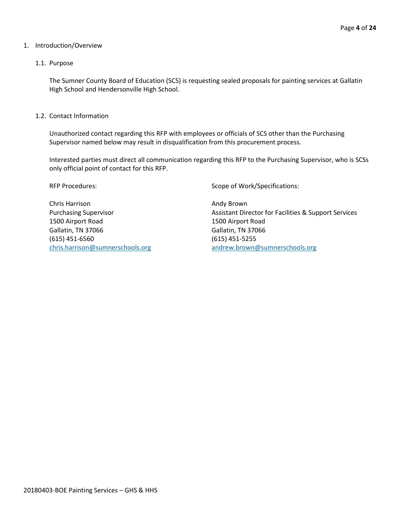#### 1. Introduction/Overview

#### 1.1. Purpose

The Sumner County Board of Education (SCS) is requesting sealed proposals for painting services at Gallatin High School and Hendersonville High School.

1.2. Contact Information

Unauthorized contact regarding this RFP with employees or officials of SCS other than the Purchasing Supervisor named below may result in disqualification from this procurement process.

Interested parties must direct all communication regarding this RFP to the Purchasing Supervisor, who is SCSs only official point of contact for this RFP.

Chris Harrison **Andy Brown Andy Brown** 1500 Airport Road 1500 Airport Road Gallatin, TN 37066 Gallatin, TN 37066 (615) 451-6560 (615) 451-5255

RFP Procedures: Scope of Work/Specifications:

Purchasing Supervisor **Assistant Director for Facilities & Support Services** Assistant Director for Facilities & Support Services [chris.harrison@sumnerschools.org](mailto:chris.harrison@sumnerschools.org) [andrew.brown@sumnerschools.org](mailto:andrew.brown@sumnerschools.org)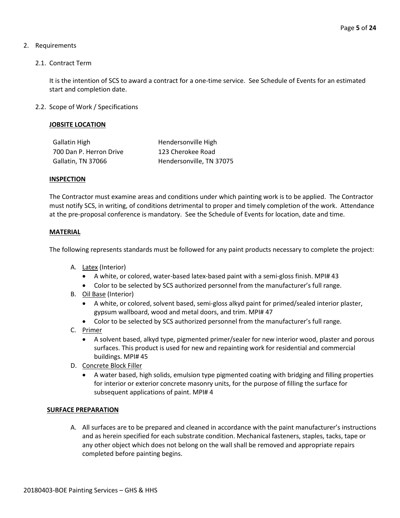# 2. Requirements

2.1. Contract Term

It is the intention of SCS to award a contract for a one-time service. See Schedule of Events for an estimated start and completion date.

2.2. Scope of Work / Specifications

# **JOBSITE LOCATION**

| <b>Gallatin High</b>    | Hendersonville High      |
|-------------------------|--------------------------|
| 700 Dan P. Herron Drive | 123 Cherokee Road        |
| Gallatin, TN 37066      | Hendersonville, TN 37075 |

#### **INSPECTION**

The Contractor must examine areas and conditions under which painting work is to be applied. The Contractor must notify SCS, in writing, of conditions detrimental to proper and timely completion of the work. Attendance at the pre-proposal conference is mandatory. See the Schedule of Events for location, date and time.

#### **MATERIAL**

The following represents standards must be followed for any paint products necessary to complete the project:

- A. **Latex** (Interior)
	- A white, or colored, water-based latex-based paint with a semi-gloss finish. MPI# 43
	- Color to be selected by SCS authorized personnel from the manufacturer's full range.
- B. Oil Base (Interior)
	- A white, or colored, solvent based, semi-gloss alkyd paint for primed/sealed interior plaster, gypsum wallboard, wood and metal doors, and trim. MPI# 47
	- Color to be selected by SCS authorized personnel from the manufacturer's full range.
- C. Primer
	- A solvent based, alkyd type, pigmented primer/sealer for new interior wood, plaster and porous surfaces. This product is used for new and repainting work for residential and commercial buildings. MPI# 45
- D. Concrete Block Filler
	- A water based, high solids, emulsion type pigmented coating with bridging and filling properties for interior or exterior concrete masonry units, for the purpose of filling the surface for subsequent applications of paint. MPI# 4

#### **SURFACE PREPARATION**

A. All surfaces are to be prepared and cleaned in accordance with the paint manufacturer's instructions and as herein specified for each substrate condition. Mechanical fasteners, staples, tacks, tape or any other object which does not belong on the wall shall be removed and appropriate repairs completed before painting begins.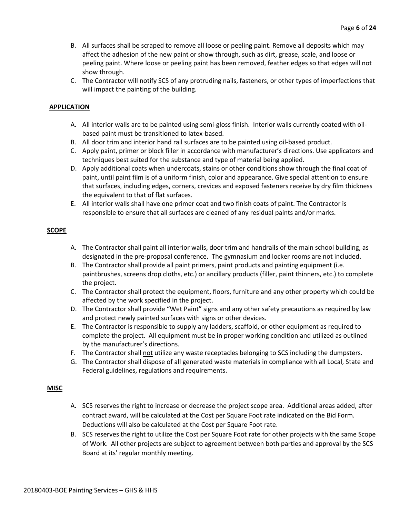- B. All surfaces shall be scraped to remove all loose or peeling paint. Remove all deposits which may affect the adhesion of the new paint or show through, such as dirt, grease, scale, and loose or peeling paint. Where loose or peeling paint has been removed, feather edges so that edges will not show through.
- C. The Contractor will notify SCS of any protruding nails, fasteners, or other types of imperfections that will impact the painting of the building.

### **APPLICATION**

- A. All interior walls are to be painted using semi-gloss finish. Interior walls currently coated with oilbased paint must be transitioned to latex-based.
- B. All door trim and interior hand rail surfaces are to be painted using oil-based product.
- C. Apply paint, primer or block filler in accordance with manufacturer's directions. Use applicators and techniques best suited for the substance and type of material being applied.
- D. Apply additional coats when undercoats, stains or other conditions show through the final coat of paint, until paint film is of a uniform finish, color and appearance. Give special attention to ensure that surfaces, including edges, corners, crevices and exposed fasteners receive by dry film thickness the equivalent to that of flat surfaces.
- E. All interior walls shall have one primer coat and two finish coats of paint. The Contractor is responsible to ensure that all surfaces are cleaned of any residual paints and/or marks.

#### **SCOPE**

- A. The Contractor shall paint all interior walls, door trim and handrails of the main school building, as designated in the pre-proposal conference. The gymnasium and locker rooms are not included.
- B. The Contractor shall provide all paint primers, paint products and painting equipment (i.e. paintbrushes, screens drop cloths, etc.) or ancillary products (filler, paint thinners, etc.) to complete the project.
- C. The Contractor shall protect the equipment, floors, furniture and any other property which could be affected by the work specified in the project.
- D. The Contractor shall provide "Wet Paint" signs and any other safety precautions as required by law and protect newly painted surfaces with signs or other devices.
- E. The Contractor is responsible to supply any ladders, scaffold, or other equipment as required to complete the project. All equipment must be in proper working condition and utilized as outlined by the manufacturer's directions.
- F. The Contractor shall not utilize any waste receptacles belonging to SCS including the dumpsters.
- G. The Contractor shall dispose of all generated waste materials in compliance with all Local, State and Federal guidelines, regulations and requirements.

### **MISC**

- A. SCS reserves the right to increase or decrease the project scope area. Additional areas added, after contract award, will be calculated at the Cost per Square Foot rate indicated on the Bid Form. Deductions will also be calculated at the Cost per Square Foot rate.
- B. SCS reserves the right to utilize the Cost per Square Foot rate for other projects with the same Scope of Work. All other projects are subject to agreement between both parties and approval by the SCS Board at its' regular monthly meeting.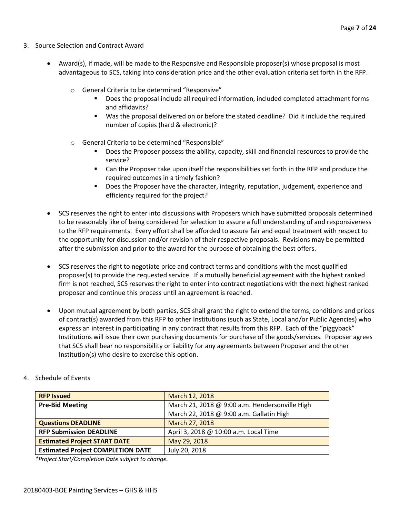- 3. Source Selection and Contract Award
	- Award(s), if made, will be made to the Responsive and Responsible proposer(s) whose proposal is most advantageous to SCS, taking into consideration price and the other evaluation criteria set forth in the RFP.
		- o General Criteria to be determined "Responsive"
			- Does the proposal include all required information, included completed attachment forms and affidavits?
			- Was the proposal delivered on or before the stated deadline? Did it include the required number of copies (hard & electronic)?
		- o General Criteria to be determined "Responsible"
			- Does the Proposer possess the ability, capacity, skill and financial resources to provide the service?
			- Can the Proposer take upon itself the responsibilities set forth in the RFP and produce the required outcomes in a timely fashion?
			- **■** Does the Proposer have the character, integrity, reputation, judgement, experience and efficiency required for the project?
	- SCS reserves the right to enter into discussions with Proposers which have submitted proposals determined to be reasonably like of being considered for selection to assure a full understanding of and responsiveness to the RFP requirements. Every effort shall be afforded to assure fair and equal treatment with respect to the opportunity for discussion and/or revision of their respective proposals. Revisions may be permitted after the submission and prior to the award for the purpose of obtaining the best offers.
	- SCS reserves the right to negotiate price and contract terms and conditions with the most qualified proposer(s) to provide the requested service. If a mutually beneficial agreement with the highest ranked firm is not reached, SCS reserves the right to enter into contract negotiations with the next highest ranked proposer and continue this process until an agreement is reached.
	- Upon mutual agreement by both parties, SCS shall grant the right to extend the terms, conditions and prices of contract(s) awarded from this RFP to other Institutions (such as State, Local and/or Public Agencies) who express an interest in participating in any contract that results from this RFP. Each of the "piggyback" Institutions will issue their own purchasing documents for purchase of the goods/services. Proposer agrees that SCS shall bear no responsibility or liability for any agreements between Proposer and the other Institution(s) who desire to exercise this option.

| <b>RFP Issued</b>                        | March 12, 2018                                 |
|------------------------------------------|------------------------------------------------|
| <b>Pre-Bid Meeting</b>                   | March 21, 2018 @ 9:00 a.m. Hendersonville High |
|                                          | March 22, 2018 @ 9:00 a.m. Gallatin High       |
| <b>Questions DEADLINE</b>                | March 27, 2018                                 |
| <b>RFP Submission DEADLINE</b>           | April 3, 2018 @ 10:00 a.m. Local Time          |
| <b>Estimated Project START DATE</b>      | May 29, 2018                                   |
| <b>Estimated Project COMPLETION DATE</b> | July 20, 2018                                  |

4. Schedule of Events

*\*Project Start/Completion Date subject to change.*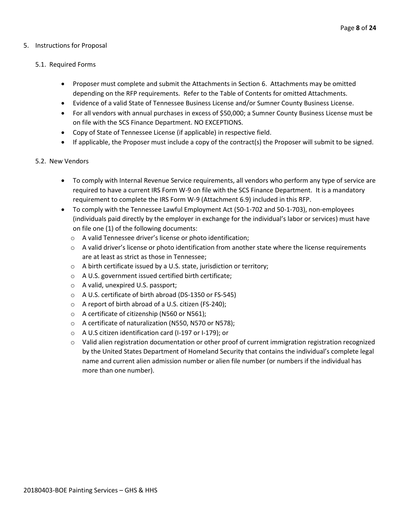### 5. Instructions for Proposal

### 5.1. Required Forms

- Proposer must complete and submit the Attachments in Section 6. Attachments may be omitted depending on the RFP requirements. Refer to the Table of Contents for omitted Attachments.
- Evidence of a valid State of Tennessee Business License and/or Sumner County Business License.
- For all vendors with annual purchases in excess of \$50,000; a Sumner County Business License must be on file with the SCS Finance Department. NO EXCEPTIONS.
- Copy of State of Tennessee License (if applicable) in respective field.
- If applicable, the Proposer must include a copy of the contract(s) the Proposer will submit to be signed.

#### 5.2. New Vendors

- To comply with Internal Revenue Service requirements, all vendors who perform any type of service are required to have a current IRS Form W-9 on file with the SCS Finance Department. It is a mandatory requirement to complete the IRS Form W-9 (Attachment 6.9) included in this RFP.
- To comply with the Tennessee Lawful Employment Act (50-1-702 and 50-1-703), non-employees (individuals paid directly by the employer in exchange for the individual's labor or services) must have on file one (1) of the following documents:
	- o A valid Tennessee driver's license or photo identification;
	- $\circ$  A valid driver's license or photo identification from another state where the license requirements are at least as strict as those in Tennessee;
	- o A birth certificate issued by a U.S. state, jurisdiction or territory;
	- o A U.S. government issued certified birth certificate;
	- o A valid, unexpired U.S. passport;
	- o A U.S. certificate of birth abroad (DS-1350 or FS-545)
	- o A report of birth abroad of a U.S. citizen (FS-240);
	- o A certificate of citizenship (N560 or N561);
	- o A certificate of naturalization (N550, N570 or N578);
	- o A U.S citizen identification card (I-197 or I-179); or
	- o Valid alien registration documentation or other proof of current immigration registration recognized by the United States Department of Homeland Security that contains the individual's complete legal name and current alien admission number or alien file number (or numbers if the individual has more than one number).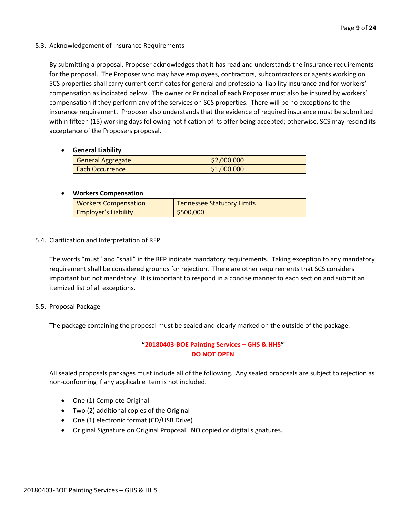#### 5.3. Acknowledgement of Insurance Requirements

By submitting a proposal, Proposer acknowledges that it has read and understands the insurance requirements for the proposal. The Proposer who may have employees, contractors, subcontractors or agents working on SCS properties shall carry current certificates for general and professional liability insurance and for workers' compensation as indicated below. The owner or Principal of each Proposer must also be insured by workers' compensation if they perform any of the services on SCS properties. There will be no exceptions to the insurance requirement. Proposer also understands that the evidence of required insurance must be submitted within fifteen (15) working days following notification of its offer being accepted; otherwise, SCS may rescind its acceptance of the Proposers proposal.

# • **General Liability**

| <b>General Aggregate</b> | \$2,000,000 |
|--------------------------|-------------|
| <b>Each Occurrence</b>   | \$1,000,000 |

# • **Workers Compensation**

| <b>Workers Compensation</b> | <b>Tennessee Statutory Limits</b> |
|-----------------------------|-----------------------------------|
| <b>Employer's Liability</b> | \$500,000                         |

# 5.4. Clarification and Interpretation of RFP

The words "must" and "shall" in the RFP indicate mandatory requirements. Taking exception to any mandatory requirement shall be considered grounds for rejection. There are other requirements that SCS considers important but not mandatory. It is important to respond in a concise manner to each section and submit an itemized list of all exceptions.

#### 5.5. Proposal Package

The package containing the proposal must be sealed and clearly marked on the outside of the package:

# **"20180403-BOE Painting Services – GHS & HHS" DO NOT OPEN**

All sealed proposals packages must include all of the following. Any sealed proposals are subject to rejection as non-conforming if any applicable item is not included.

- One (1) Complete Original
- Two (2) additional copies of the Original
- One (1) electronic format (CD/USB Drive)
- Original Signature on Original Proposal. NO copied or digital signatures.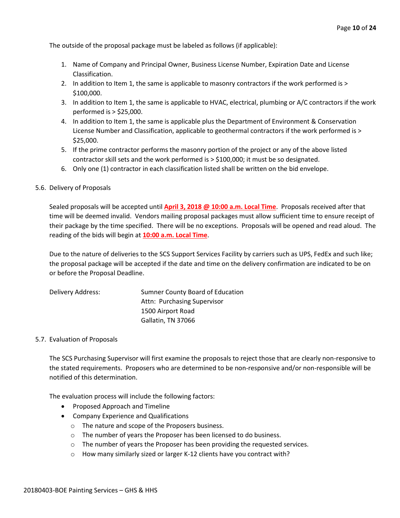The outside of the proposal package must be labeled as follows (if applicable):

- 1. Name of Company and Principal Owner, Business License Number, Expiration Date and License Classification.
- 2. In addition to Item 1, the same is applicable to masonry contractors if the work performed is > \$100,000.
- 3. In addition to Item 1, the same is applicable to HVAC, electrical, plumbing or A/C contractors if the work performed is > \$25,000.
- 4. In addition to Item 1, the same is applicable plus the Department of Environment & Conservation License Number and Classification, applicable to geothermal contractors if the work performed is > \$25,000.
- 5. If the prime contractor performs the masonry portion of the project or any of the above listed contractor skill sets and the work performed is > \$100,000; it must be so designated.
- 6. Only one (1) contractor in each classification listed shall be written on the bid envelope.

#### 5.6. Delivery of Proposals

Sealed proposals will be accepted until **April 3, 2018 @ 10:00 a.m. Local Time**. Proposals received after that time will be deemed invalid. Vendors mailing proposal packages must allow sufficient time to ensure receipt of their package by the time specified. There will be no exceptions. Proposals will be opened and read aloud. The reading of the bids will begin at **10:00 a.m. Local Time**.

Due to the nature of deliveries to the SCS Support Services Facility by carriers such as UPS, FedEx and such like; the proposal package will be accepted if the date and time on the delivery confirmation are indicated to be on or before the Proposal Deadline.

| Delivery Address: | Sumner County Board of Education |
|-------------------|----------------------------------|
|                   | Attn: Purchasing Supervisor      |
|                   | 1500 Airport Road                |
|                   | Gallatin, TN 37066               |

#### 5.7. Evaluation of Proposals

The SCS Purchasing Supervisor will first examine the proposals to reject those that are clearly non-responsive to the stated requirements. Proposers who are determined to be non-responsive and/or non-responsible will be notified of this determination.

The evaluation process will include the following factors:

- Proposed Approach and Timeline
- Company Experience and Qualifications
	- o The nature and scope of the Proposers business.
	- o The number of years the Proposer has been licensed to do business.
	- o The number of years the Proposer has been providing the requested services.
	- $\circ$  How many similarly sized or larger K-12 clients have you contract with?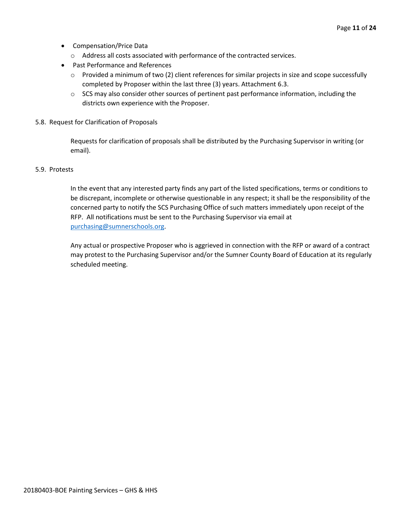- Compensation/Price Data
	- o Address all costs associated with performance of the contracted services.
- Past Performance and References
	- $\circ$  Provided a minimum of two (2) client references for similar projects in size and scope successfully completed by Proposer within the last three (3) years. Attachment 6.3.
	- $\circ$  SCS may also consider other sources of pertinent past performance information, including the districts own experience with the Proposer.
- 5.8. Request for Clarification of Proposals

Requests for clarification of proposals shall be distributed by the Purchasing Supervisor in writing (or email).

#### 5.9. Protests

In the event that any interested party finds any part of the listed specifications, terms or conditions to be discrepant, incomplete or otherwise questionable in any respect; it shall be the responsibility of the concerned party to notify the SCS Purchasing Office of such matters immediately upon receipt of the RFP. All notifications must be sent to the Purchasing Supervisor via email at [purchasing@sumnerschools.org.](mailto:purchasing@sumnerschools.org)

Any actual or prospective Proposer who is aggrieved in connection with the RFP or award of a contract may protest to the Purchasing Supervisor and/or the Sumner County Board of Education at its regularly scheduled meeting.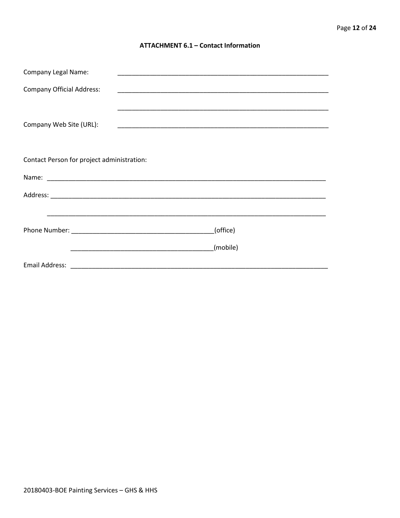#### **ATTACHMENT 6.1 - Contact Information**

| <b>Company Legal Name:</b>                 |          |
|--------------------------------------------|----------|
| <b>Company Official Address:</b>           |          |
|                                            |          |
| Company Web Site (URL):                    |          |
|                                            |          |
|                                            |          |
| Contact Person for project administration: |          |
|                                            |          |
|                                            |          |
|                                            |          |
|                                            | (office) |
|                                            |          |
|                                            | (mobile) |
|                                            |          |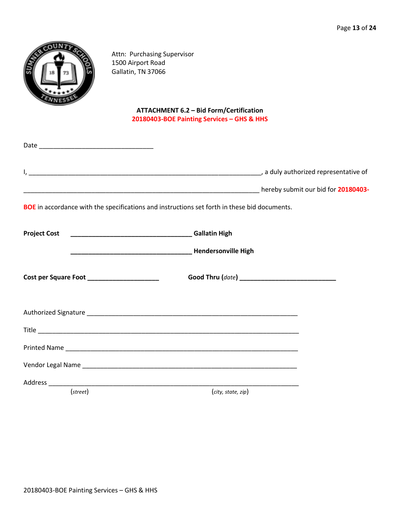

Attn: Purchasing Supervisor 1500 Airport Road Gallatin, TN 37066

# **ATTACHMENT 6.2 – Bid Form/Certification 20180403-BOE Painting Services – GHS & HHS**

|                                            | <b>BOE</b> in accordance with the specifications and instructions set forth in these bid documents. |  |
|--------------------------------------------|-----------------------------------------------------------------------------------------------------|--|
|                                            |                                                                                                     |  |
|                                            | <b>Mendersonville High</b> (1997) 2022 - The Mendersonville High                                    |  |
| Cost per Square Foot _____________________ |                                                                                                     |  |
|                                            |                                                                                                     |  |
|                                            |                                                                                                     |  |
|                                            |                                                                                                     |  |
|                                            |                                                                                                     |  |
|                                            |                                                                                                     |  |
| $(\text{street})$                          | (city, state, zip)                                                                                  |  |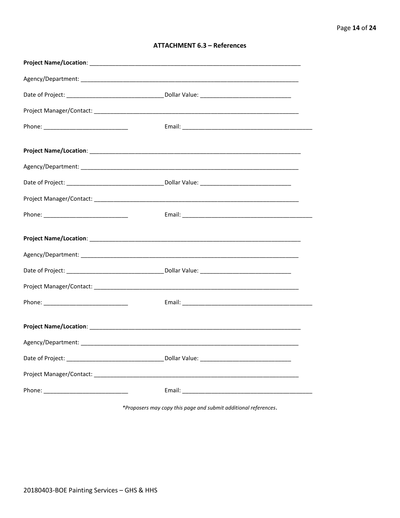| <b>ATTACHMENT 6.3 - References</b> |  |  |
|------------------------------------|--|--|
|------------------------------------|--|--|

\*Proposers may copy this page and submit additional references.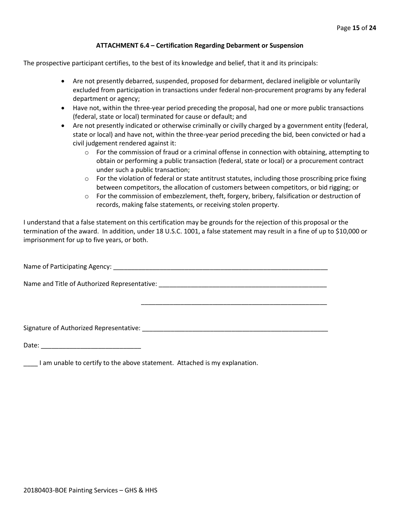#### **ATTACHMENT 6.4 – Certification Regarding Debarment or Suspension**

The prospective participant certifies, to the best of its knowledge and belief, that it and its principals:

- Are not presently debarred, suspended, proposed for debarment, declared ineligible or voluntarily excluded from participation in transactions under federal non-procurement programs by any federal department or agency;
- Have not, within the three-year period preceding the proposal, had one or more public transactions (federal, state or local) terminated for cause or default; and
- Are not presently indicated or otherwise criminally or civilly charged by a government entity (federal, state or local) and have not, within the three-year period preceding the bid, been convicted or had a civil judgement rendered against it:
	- $\circ$  For the commission of fraud or a criminal offense in connection with obtaining, attempting to obtain or performing a public transaction (federal, state or local) or a procurement contract under such a public transaction;
	- $\circ$  For the violation of federal or state antitrust statutes, including those proscribing price fixing between competitors, the allocation of customers between competitors, or bid rigging; or
	- $\circ$  For the commission of embezzlement, theft, forgery, bribery, falsification or destruction of records, making false statements, or receiving stolen property.

\_\_\_\_\_\_\_\_\_\_\_\_\_\_\_\_\_\_\_\_\_\_\_\_\_\_\_\_\_\_\_\_\_\_\_\_\_\_\_\_\_\_\_\_\_\_\_\_\_\_\_\_

I understand that a false statement on this certification may be grounds for the rejection of this proposal or the termination of the award. In addition, under 18 U.S.C. 1001, a false statement may result in a fine of up to \$10,000 or imprisonment for up to five years, or both.

Name of Participating Agency: \_\_\_\_\_\_\_\_\_\_\_\_\_\_\_\_\_\_\_\_\_\_\_\_\_\_\_\_\_\_\_\_\_\_\_\_\_\_\_\_\_\_\_\_\_\_\_\_\_\_\_\_\_\_\_\_\_\_\_\_

Name and Title of Authorized Representative: \_\_\_\_\_\_\_\_\_\_\_\_\_\_\_\_\_\_\_\_\_\_\_\_\_\_\_\_\_\_\_\_\_\_\_

Signature of Authorized Representative: \_\_\_\_\_\_\_\_\_\_\_\_\_\_\_\_\_\_\_\_\_\_\_\_\_\_\_\_\_\_\_\_\_\_\_\_\_\_\_\_\_\_\_\_\_\_\_\_\_\_\_\_

Date: \_\_\_\_\_\_\_\_\_\_\_\_\_\_\_\_\_\_\_\_\_\_\_\_\_\_\_\_

\_\_\_\_ I am unable to certify to the above statement. Attached is my explanation.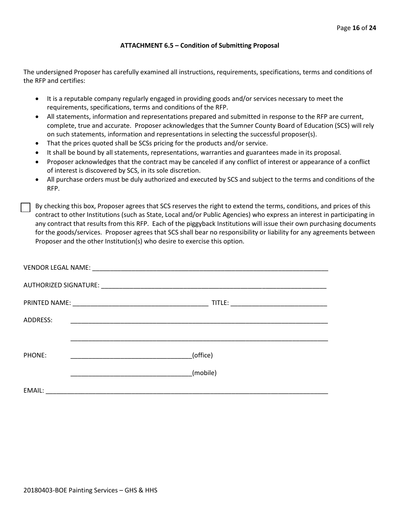#### **ATTACHMENT 6.5 – Condition of Submitting Proposal**

The undersigned Proposer has carefully examined all instructions, requirements, specifications, terms and conditions of the RFP and certifies:

- It is a reputable company regularly engaged in providing goods and/or services necessary to meet the requirements, specifications, terms and conditions of the RFP.
- All statements, information and representations prepared and submitted in response to the RFP are current, complete, true and accurate. Proposer acknowledges that the Sumner County Board of Education (SCS) will rely on such statements, information and representations in selecting the successful proposer(s).
- That the prices quoted shall be SCSs pricing for the products and/or service.
- It shall be bound by all statements, representations, warranties and guarantees made in its proposal.
- Proposer acknowledges that the contract may be canceled if any conflict of interest or appearance of a conflict of interest is discovered by SCS, in its sole discretion.
- All purchase orders must be duly authorized and executed by SCS and subject to the terms and conditions of the RFP.

By checking this box, Proposer agrees that SCS reserves the right to extend the terms, conditions, and prices of this contract to other Institutions (such as State, Local and/or Public Agencies) who express an interest in participating in any contract that results from this RFP. Each of the piggyback Institutions will issue their own purchasing documents for the goods/services. Proposer agrees that SCS shall bear no responsibility or liability for any agreements between Proposer and the other Institution(s) who desire to exercise this option.

| ADDRESS: |          |
|----------|----------|
|          |          |
| PHONE:   | (office) |
|          | (mobile) |
| EMAIL:   |          |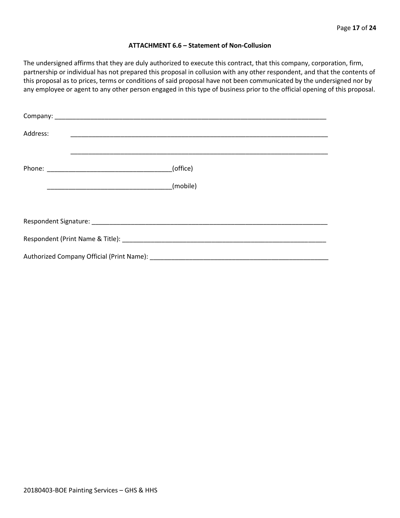#### **ATTACHMENT 6.6 – Statement of Non-Collusion**

The undersigned affirms that they are duly authorized to execute this contract, that this company, corporation, firm, partnership or individual has not prepared this proposal in collusion with any other respondent, and that the contents of this proposal as to prices, terms or conditions of said proposal have not been communicated by the undersigned nor by any employee or agent to any other person engaged in this type of business prior to the official opening of this proposal.

| Address: |          |
|----------|----------|
|          | (office) |
|          | (mobile) |
|          |          |
|          |          |
|          |          |
|          |          |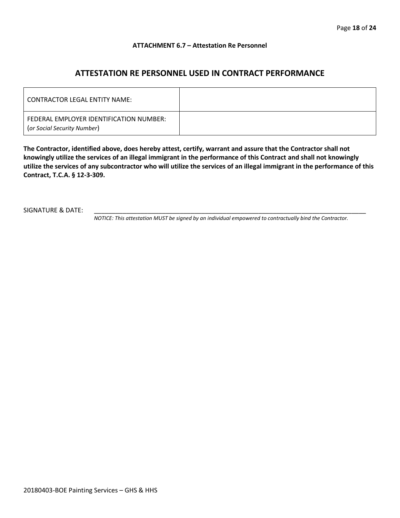#### **ATTACHMENT 6.7 – Attestation Re Personnel**

# **ATTESTATION RE PERSONNEL USED IN CONTRACT PERFORMANCE**

| CONTRACTOR LEGAL ENTITY NAME:                                          |  |
|------------------------------------------------------------------------|--|
| FEDERAL EMPLOYER IDENTIFICATION NUMBER:<br>(or Social Security Number) |  |

**The Contractor, identified above, does hereby attest, certify, warrant and assure that the Contractor shall not knowingly utilize the services of an illegal immigrant in the performance of this Contract and shall not knowingly utilize the services of any subcontractor who will utilize the services of an illegal immigrant in the performance of this Contract, T.C.A. § 12-3-309.**

SIGNATURE & DATE:

*NOTICE: This attestation MUST be signed by an individual empowered to contractually bind the Contractor.*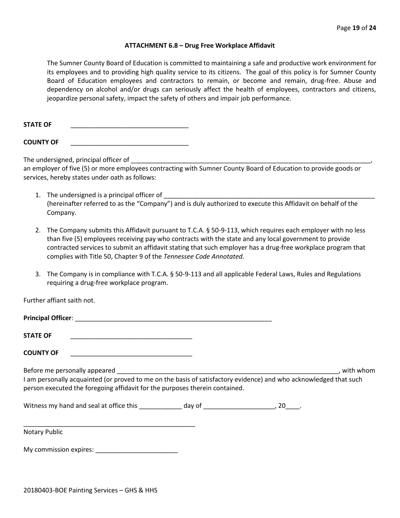#### **ATTACHMENT 6.8 – Drug Free Workplace Affidavit**

The Sumner County Board of Education is committed to maintaining a safe and productive work environment for its employees and to providing high quality service to its citizens. The goal of this policy is for Sumner County Board of Education employees and contractors to remain, or become and remain, drug-free. Abuse and dependency on alcohol and/or drugs can seriously affect the health of employees, contractors and citizens, jeopardize personal safety, impact the safety of others and impair job performance.

STATE OF

**COUNTY OF** \_\_\_\_\_\_\_\_\_\_\_\_\_\_\_\_\_\_\_\_\_\_\_\_\_\_\_\_\_\_\_\_\_

The undersigned, principal officer of

an employer of five (5) or more employees contracting with Sumner County Board of Education to provide goods or services, hereby states under oath as follows:

- 1. The undersigned is a principal officer of (hereinafter referred to as the "Company") and is duly authorized to execute this Affidavit on behalf of the Company.
- 2. The Company submits this Affidavit pursuant to T.C.A. § 50-9-113, which requires each employer with no less than five (5) employees receiving pay who contracts with the state and any local government to provide contracted services to submit an affidavit stating that such employer has a drug-free workplace program that complies with Title 50, Chapter 9 of the *Tennessee Code Annotated*.
- 3. The Company is in compliance with T.C.A. § 50-9-113 and all applicable Federal Laws, Rules and Regulations requiring a drug-free workplace program.

Further affiant saith not.

| Principal Officer: |  |
|--------------------|--|
| <b>STATE OF</b>    |  |

**COUNTY OF** \_\_\_\_\_\_\_\_\_\_\_\_\_\_\_\_\_\_\_\_\_\_\_\_\_\_\_\_\_\_\_\_\_\_

Before me personally appeared \_\_\_\_\_\_\_\_\_\_\_\_\_\_\_\_\_\_\_\_\_\_\_\_\_\_\_\_\_\_\_\_\_\_\_\_\_\_\_\_\_\_\_\_\_\_\_\_\_\_\_\_\_\_\_\_\_\_\_\_\_\_, with whom I am personally acquainted (or proved to me on the basis of satisfactory evidence) and who acknowledged that such person executed the foregoing affidavit for the purposes therein contained.

Witness my hand and seal at office this \_\_\_\_\_\_\_\_\_\_\_\_\_ day of \_\_\_\_\_\_\_\_\_\_\_\_\_\_\_\_\_\_\_\_\_, 20\_\_\_\_.

\_\_\_\_\_\_\_\_\_\_\_\_\_\_\_\_\_\_\_\_\_\_\_\_\_\_\_\_\_\_\_\_\_\_\_\_\_\_\_\_\_\_\_\_\_\_\_\_ Notary Public

My commission expires: \_\_\_\_\_\_\_\_\_\_\_\_\_\_\_\_\_\_\_\_\_\_\_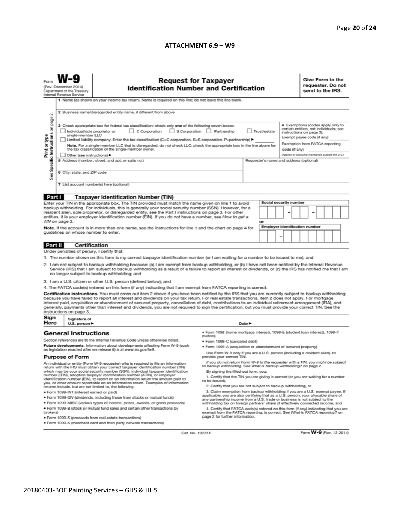#### **ATTACHMENT 6.9 – W9**

| σû                                                                                                                                                                                                                                                                                                                                                                                                                                                                                                                                                                                                                                                                                                                                                                                                                                                                                                                                                                                                                                                                                                                                                                                                                                                                                                                                                                                                            | <b>Request for Taxpayer</b><br>(Rev. December 2014)<br><b>Identification Number and Certification</b><br>Department of the Treasury<br>Internal Revenue Service<br>1 Name (as shown on your income tax return). Name is required on this line; do not leave this line blank.<br>2 Business name/disregarded entity name, if different from above |                                                                                                                                                                                                                                                                                                                                                                                                                                                                                                                                                                                                                                                                                                                                                 |                                                                                                                                                                                                                                                                                                                                                                                                                                                                                                                                                                                                                                                                                                                         |                                            |  |  |  |  | Give Form to the<br>requester. Do not<br>send to the IRS.                                                                                                                                                                    |  |  |  |  |
|---------------------------------------------------------------------------------------------------------------------------------------------------------------------------------------------------------------------------------------------------------------------------------------------------------------------------------------------------------------------------------------------------------------------------------------------------------------------------------------------------------------------------------------------------------------------------------------------------------------------------------------------------------------------------------------------------------------------------------------------------------------------------------------------------------------------------------------------------------------------------------------------------------------------------------------------------------------------------------------------------------------------------------------------------------------------------------------------------------------------------------------------------------------------------------------------------------------------------------------------------------------------------------------------------------------------------------------------------------------------------------------------------------------|--------------------------------------------------------------------------------------------------------------------------------------------------------------------------------------------------------------------------------------------------------------------------------------------------------------------------------------------------|-------------------------------------------------------------------------------------------------------------------------------------------------------------------------------------------------------------------------------------------------------------------------------------------------------------------------------------------------------------------------------------------------------------------------------------------------------------------------------------------------------------------------------------------------------------------------------------------------------------------------------------------------------------------------------------------------------------------------------------------------|-------------------------------------------------------------------------------------------------------------------------------------------------------------------------------------------------------------------------------------------------------------------------------------------------------------------------------------------------------------------------------------------------------------------------------------------------------------------------------------------------------------------------------------------------------------------------------------------------------------------------------------------------------------------------------------------------------------------------|--------------------------------------------|--|--|--|--|------------------------------------------------------------------------------------------------------------------------------------------------------------------------------------------------------------------------------|--|--|--|--|
| Specific Instructions on page<br>Print or type<br>See                                                                                                                                                                                                                                                                                                                                                                                                                                                                                                                                                                                                                                                                                                                                                                                                                                                                                                                                                                                                                                                                                                                                                                                                                                                                                                                                                         |                                                                                                                                                                                                                                                                                                                                                  | 3 Check appropriate box for federal tax classification; check only one of the following seven boxes:<br>C Corporation<br>S Corporation Partnership<br>Trust/estate<br>Individual/sole proprietor or<br>single-member LLC<br>Limited liability company. Enter the tax classification (C=C corporation, S=S corporation, P=partnership) ▶<br>Note. For a single-member LLC that is disregarded, do not check LLC; check the appropriate box in the line above for<br>the tax classification of the single-member owner.<br>code (if any)<br>Other (see instructions) ▶<br>5 Address (number, street, and apt. or suite no.)<br>Requester's name and address (optional)<br>6 City, state, and ZIP code<br>7 List account number(s) here (optional) |                                                                                                                                                                                                                                                                                                                                                                                                                                                                                                                                                                                                                                                                                                                         |                                            |  |  |  |  | 4 Exemptions (codes apply only to<br>certain entities, not individuals; see<br>instructions on page 3):<br>Exempt payee code (if any)<br>Exemption from FATCA reporting<br>(Applies to accounts maintained outside the U.S.) |  |  |  |  |
| Part I                                                                                                                                                                                                                                                                                                                                                                                                                                                                                                                                                                                                                                                                                                                                                                                                                                                                                                                                                                                                                                                                                                                                                                                                                                                                                                                                                                                                        |                                                                                                                                                                                                                                                                                                                                                  | <b>Taxpayer Identification Number (TIN)</b>                                                                                                                                                                                                                                                                                                                                                                                                                                                                                                                                                                                                                                                                                                     |                                                                                                                                                                                                                                                                                                                                                                                                                                                                                                                                                                                                                                                                                                                         |                                            |  |  |  |  |                                                                                                                                                                                                                              |  |  |  |  |
| Social security number<br>Enter your TIN in the appropriate box. The TIN provided must match the name given on line 1 to avoid<br>backup withholding. For individuals, this is generally your social security number (SSN). However, for a<br>resident alien, sole proprietor, or disregarded entity, see the Part I instructions on page 3. For other<br>entities, it is your employer identification number (EIN). If you do not have a number, see How to get a<br>TIN on page 3.<br>or                                                                                                                                                                                                                                                                                                                                                                                                                                                                                                                                                                                                                                                                                                                                                                                                                                                                                                                    |                                                                                                                                                                                                                                                                                                                                                  |                                                                                                                                                                                                                                                                                                                                                                                                                                                                                                                                                                                                                                                                                                                                                 |                                                                                                                                                                                                                                                                                                                                                                                                                                                                                                                                                                                                                                                                                                                         |                                            |  |  |  |  |                                                                                                                                                                                                                              |  |  |  |  |
| Note. If the account is in more than one name, see the instructions for line 1 and the chart on page 4 for<br>guidelines on whose number to enter.                                                                                                                                                                                                                                                                                                                                                                                                                                                                                                                                                                                                                                                                                                                                                                                                                                                                                                                                                                                                                                                                                                                                                                                                                                                            |                                                                                                                                                                                                                                                                                                                                                  |                                                                                                                                                                                                                                                                                                                                                                                                                                                                                                                                                                                                                                                                                                                                                 |                                                                                                                                                                                                                                                                                                                                                                                                                                                                                                                                                                                                                                                                                                                         | <b>Employer identification number</b><br>۰ |  |  |  |  |                                                                                                                                                                                                                              |  |  |  |  |
| Part II                                                                                                                                                                                                                                                                                                                                                                                                                                                                                                                                                                                                                                                                                                                                                                                                                                                                                                                                                                                                                                                                                                                                                                                                                                                                                                                                                                                                       | <b>Certification</b>                                                                                                                                                                                                                                                                                                                             |                                                                                                                                                                                                                                                                                                                                                                                                                                                                                                                                                                                                                                                                                                                                                 |                                                                                                                                                                                                                                                                                                                                                                                                                                                                                                                                                                                                                                                                                                                         |                                            |  |  |  |  |                                                                                                                                                                                                                              |  |  |  |  |
| Under penalties of perjury, I certify that:<br>1. The number shown on this form is my correct taxpayer identification number (or I am waiting for a number to be issued to me); and<br>2. I am not subject to backup withholding because: (a) I am exempt from backup withholding, or (b) I have not been notified by the Internal Revenue<br>Service (IRS) that I am subject to backup withholding as a result of a failure to report all interest or dividends, or (c) the IRS has notified me that I am<br>no longer subject to backup withholding; and<br>3. I am a U.S. citizen or other U.S. person (defined below); and<br>4. The FATCA code(s) entered on this form (if any) indicating that I am exempt from FATCA reporting is correct.<br>Certification instructions. You must cross out item 2 above if you have been notified by the IRS that you are currently subject to backup withholding<br>because you have failed to report all interest and dividends on your tax return. For real estate transactions, item 2 does not apply. For mortgage<br>interest paid, acquisition or abandonment of secured property, cancellation of debt, contributions to an individual retirement arrangement (IRA), and<br>generally, payments other than interest and dividends, you are not required to sign the certification, but you must provide your correct TIN. See the<br>instructions on page 3. |                                                                                                                                                                                                                                                                                                                                                  |                                                                                                                                                                                                                                                                                                                                                                                                                                                                                                                                                                                                                                                                                                                                                 |                                                                                                                                                                                                                                                                                                                                                                                                                                                                                                                                                                                                                                                                                                                         |                                            |  |  |  |  |                                                                                                                                                                                                                              |  |  |  |  |
| Sign<br>Here                                                                                                                                                                                                                                                                                                                                                                                                                                                                                                                                                                                                                                                                                                                                                                                                                                                                                                                                                                                                                                                                                                                                                                                                                                                                                                                                                                                                  | Signature of<br>U.S. person ▶                                                                                                                                                                                                                                                                                                                    |                                                                                                                                                                                                                                                                                                                                                                                                                                                                                                                                                                                                                                                                                                                                                 |                                                                                                                                                                                                                                                                                                                                                                                                                                                                                                                                                                                                                                                                                                                         | Date P                                     |  |  |  |  |                                                                                                                                                                                                                              |  |  |  |  |
| <b>General Instructions</b><br>Section references are to the Internal Revenue Code unless otherwise noted.<br>Future developments. Information about developments affecting Form W-9 (such<br>as legislation enacted after we release it) is at www.irs.gov/fw9.<br><b>Purpose of Form</b><br>An individual or entity (Form W-9 requester) who is required to file an information<br>return with the IRS must obtain your correct taxpayer identification number (TIN)<br>which may be your social security number (SSN), individual taxpayer identification<br>number (ITIN), adoption taxpayer identification number (ATIN), or employer                                                                                                                                                                                                                                                                                                                                                                                                                                                                                                                                                                                                                                                                                                                                                                    |                                                                                                                                                                                                                                                                                                                                                  | · Form 1098 (home mortgage interest), 1098-E (student loan interest), 1098-T<br>(tuition)<br>• Form 1099-C (canceled debt)<br>· Form 1099-A (acquisition or abandonment of secured property)<br>Use Form W-9 only if you are a U.S. person (including a resident alien), to<br>provide your correct TIN.<br>If you do not return Form W-9 to the requester with a TIN, you might be subject<br>to backup withholding. See What is backup withholding? on page 2.<br>By signing the filled-out form, you:                                                                                                                                                                                                                                        |                                                                                                                                                                                                                                                                                                                                                                                                                                                                                                                                                                                                                                                                                                                         |                                            |  |  |  |  |                                                                                                                                                                                                                              |  |  |  |  |
| identification number (EIN), to report on an information return the amount paid to<br>you, or other amount reportable on an information return. Examples of information<br>returns include, but are not limited to, the following:<br>· Form 1099-INT (interest earned or paid)<br>. Form 1099-DIV (dividends, including those from stocks or mutual funds)<br>. Form 1099-MISC (various types of income, prizes, awards, or gross proceeds)<br>. Form 1099-B (stock or mutual fund sales and certain other transactions by<br>brokers)<br>· Form 1099-S (proceeds from real estate transactions)<br>. Form 1099-K (merchant card and third party network transactions)                                                                                                                                                                                                                                                                                                                                                                                                                                                                                                                                                                                                                                                                                                                                       |                                                                                                                                                                                                                                                                                                                                                  |                                                                                                                                                                                                                                                                                                                                                                                                                                                                                                                                                                                                                                                                                                                                                 | 1. Certify that the TIN you are giving is correct (or you are waiting for a number<br>to be issued).<br>2. Certify that you are not subject to backup withholding, or<br>3. Claim exemption from backup withholding if you are a U.S. exempt payee. If<br>applicable, you are also certifying that as a U.S. person, your allocable share of<br>any partnership income from a U.S. trade or business is not subject to the<br>withholding tax on foreign partners' share of effectively connected income, and<br>4. Certify that FATCA code(s) entered on this form (if any) indicating that you are<br>exempt from the FATCA reporting, is correct. See What is FATCA reporting? on<br>page 2 for further information. |                                            |  |  |  |  |                                                                                                                                                                                                                              |  |  |  |  |

Cat. No. 10231X

Form **W-9** (Rev. 12-2014)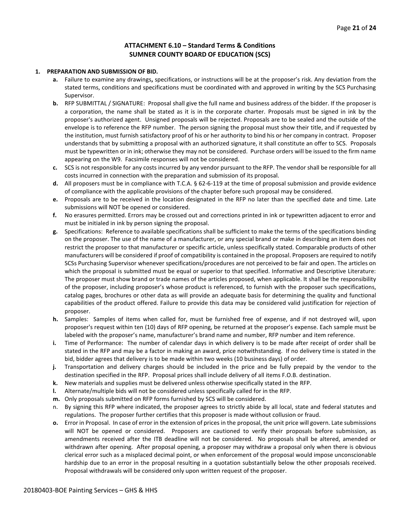### **ATTACHMENT 6.10 – Standard Terms & Conditions SUMNER COUNTY BOARD OF EDUCATION (SCS)**

#### **1. PREPARATION AND SUBMISSION OF BID.**

- **a.** Failure to examine any drawings**,** specifications, or instructions will be at the proposer's risk. Any deviation from the stated terms, conditions and specifications must be coordinated with and approved in writing by the SCS Purchasing Supervisor.
- **b.** RFP SUBMITTAL / SIGNATURE: Proposal shall give the full name and business address of the bidder. If the proposer is a corporation, the name shall be stated as it is in the corporate charter. Proposals must be signed in ink by the proposer's authorized agent. Unsigned proposals will be rejected. Proposals are to be sealed and the outside of the envelope is to reference the RFP number. The person signing the proposal must show their title, and if requested by the institution, must furnish satisfactory proof of his or her authority to bind his or her company in contract. Proposer understands that by submitting a proposal with an authorized signature, it shall constitute an offer to SCS. Proposals must be typewritten or in ink; otherwise they may not be considered. Purchase orders will be issued to the firm name appearing on the W9. Facsimile responses will not be considered.
- **c.** SCS is not responsible for any costs incurred by any vendor pursuant to the RFP. The vendor shall be responsible for all costs incurred in connection with the preparation and submission of its proposal.
- **d.** All proposers must be in compliance with T.C.A. § 62-6-119 at the time of proposal submission and provide evidence of compliance with the applicable provisions of the chapter before such proposal may be considered.
- **e.** Proposals are to be received in the location designated in the RFP no later than the specified date and time. Late submissions will NOT be opened or considered.
- **f.** No erasures permitted. Errors may be crossed out and corrections printed in ink or typewritten adjacent to error and must be initialed in ink by person signing the proposal.
- **g.** Specifications: Reference to available specifications shall be sufficient to make the terms of the specifications binding on the proposer. The use of the name of a manufacturer, or any special brand or make in describing an item does not restrict the proposer to that manufacturer or specific article, unless specifically stated. Comparable products of other manufacturers will be considered if proof of compatibility is contained in the proposal. Proposers are required to notify SCSs Purchasing Supervisor whenever specifications/procedures are not perceived to be fair and open. The articles on which the proposal is submitted must be equal or superior to that specified. Informative and Descriptive Literature: The proposer must show brand or trade names of the articles proposed, when applicable. It shall be the responsibility of the proposer, including proposer's whose product is referenced, to furnish with the proposer such specifications, catalog pages, brochures or other data as will provide an adequate basis for determining the quality and functional capabilities of the product offered. Failure to provide this data may be considered valid justification for rejection of proposer.
- **h.** Samples: Samples of items when called for, must be furnished free of expense, and if not destroyed will, upon proposer's request within ten (10) days of RFP opening, be returned at the proposer's expense. Each sample must be labeled with the proposer's name, manufacturer's brand name and number, RFP number and item reference.
- **i.** Time of Performance: The number of calendar days in which delivery is to be made after receipt of order shall be stated in the RFP and may be a factor in making an award, price notwithstanding. If no delivery time is stated in the bid, bidder agrees that delivery is to be made within two weeks (10 business days) of order.
- **j.** Transportation and delivery charges should be included in the price and be fully prepaid by the vendor to the destination specified in the RFP. Proposal prices shall include delivery of all items F.O.B. destination.
- **k.** New materials and supplies must be delivered unless otherwise specifically stated in the RFP.
- **l.** Alternate/multiple bids will not be considered unless specifically called for in the RFP.
- **m.** Only proposals submitted on RFP forms furnished by SCS will be considered.
- By signing this RFP where indicated, the proposer agrees to strictly abide by all local, state and federal statutes and regulations. The proposer further certifies that this proposer is made without collusion or fraud.
- **o.** Error in Proposal. In case of error in the extension of prices in the proposal, the unit price will govern. Late submissions will NOT be opened or considered. Proposers are cautioned to verify their proposals before submission, as amendments received after the ITB deadline will not be considered. No proposals shall be altered, amended or withdrawn after opening. After proposal opening, a proposer may withdraw a proposal only when there is obvious clerical error such as a misplaced decimal point, or when enforcement of the proposal would impose unconscionable hardship due to an error in the proposal resulting in a quotation substantially below the other proposals received. Proposal withdrawals will be considered only upon written request of the proposer.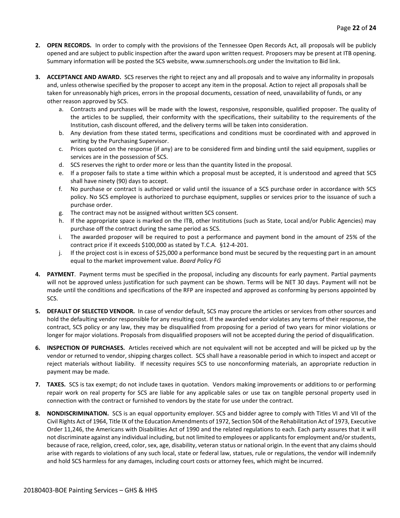- **2. OPEN RECORDS.** In order to comply with the provisions of the Tennessee Open Records Act, all proposals will be publicly opened and are subject to public inspection after the award upon written request. Proposers may be present at ITB opening. Summary information will be posted the SCS website, www.sumnerschools.org under the Invitation to Bid link.
- **3. ACCEPTANCE AND AWARD.** SCS reserves the right to reject any and all proposals and to waive any informality in proposals and, unless otherwise specified by the proposer to accept any item in the proposal. Action to reject all proposals shall be taken for unreasonably high prices, errors in the proposal documents, cessation of need, unavailability of funds, or any other reason approved by SCS.
	- a. Contracts and purchases will be made with the lowest, responsive, responsible, qualified proposer. The quality of the articles to be supplied, their conformity with the specifications, their suitability to the requirements of the Institution, cash discount offered, and the delivery terms will be taken into consideration.
	- b. Any deviation from these stated terms, specifications and conditions must be coordinated with and approved in writing by the Purchasing Supervisor.
	- c. Prices quoted on the response (if any) are to be considered firm and binding until the said equipment, supplies or services are in the possession of SCS.
	- d. SCS reserves the right to order more or less than the quantity listed in the proposal.
	- e. If a proposer fails to state a time within which a proposal must be accepted, it is understood and agreed that SCS shall have ninety (90) days to accept.
	- f. No purchase or contract is authorized or valid until the issuance of a SCS purchase order in accordance with SCS policy. No SCS employee is authorized to purchase equipment, supplies or services prior to the issuance of such a purchase order.
	- g. The contract may not be assigned without written SCS consent.
	- h. If the appropriate space is marked on the ITB, other Institutions (such as State, Local and/or Public Agencies) may purchase off the contract during the same period as SCS.
	- i. The awarded proposer will be required to post a performance and payment bond in the amount of 25% of the contract price if it exceeds \$100,000 as stated by T.C.A. §12-4-201.
	- j. If the project cost is in excess of \$25,000 a performance bond must be secured by the requesting part in an amount equal to the market improvement value. *Board Policy FG*
- **4. PAYMENT**. Payment terms must be specified in the proposal, including any discounts for early payment. Partial payments will not be approved unless justification for such payment can be shown. Terms will be NET 30 days. Payment will not be made until the conditions and specifications of the RFP are inspected and approved as conforming by persons appointed by SCS.
- **5. DEFAULT OF SELECTED VENDOR.** In case of vendor default, SCS may procure the articles or services from other sources and hold the defaulting vendor responsible for any resulting cost. If the awarded vendor violates any terms of their response, the contract, SCS policy or any law, they may be disqualified from proposing for a period of two years for minor violations or longer for major violations. Proposals from disqualified proposers will not be accepted during the period of disqualification.
- **6. INSPECTION OF PURCHASES.** Articles received which are not equivalent will not be accepted and will be picked up by the vendor or returned to vendor, shipping charges collect. SCS shall have a reasonable period in which to inspect and accept or reject materials without liability. If necessity requires SCS to use nonconforming materials, an appropriate reduction in payment may be made.
- **7. TAXES.** SCS is tax exempt; do not include taxes in quotation. Vendors making improvements or additions to or performing repair work on real property for SCS are liable for any applicable sales or use tax on tangible personal property used in connection with the contract or furnished to vendors by the state for use under the contract.
- **8. NONDISCRIMINATION.** SCS is an equal opportunity employer. SCS and bidder agree to comply with Titles VI and VII of the Civil Rights Act of 1964, Title IX of the Education Amendments of 1972, Section 504 of the Rehabilitation Act of 1973, Executive Order 11,246, the Americans with Disabilities Act of 1990 and the related regulations to each. Each party assures that it will not discriminate against any individual including, but not limited to employees or applicants for employment and/or students, because of race, religion, creed, color, sex, age, disability, veteran status or national origin. In the event that any claims should arise with regards to violations of any such local, state or federal law, statues, rule or regulations, the vendor will indemnify and hold SCS harmless for any damages, including court costs or attorney fees, which might be incurred.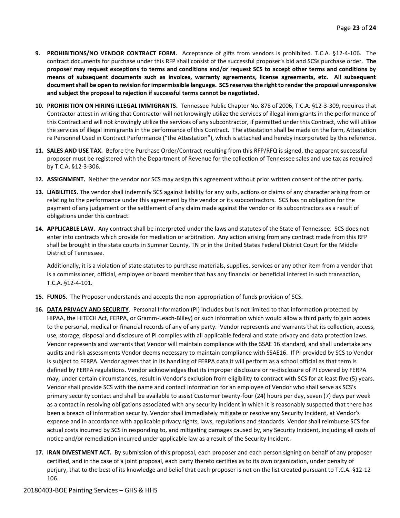- **9. PROHIBITIONS/NO VENDOR CONTRACT FORM.** Acceptance of gifts from vendors is prohibited. T.C.A. §12-4-106. The contract documents for purchase under this RFP shall consist of the successful proposer's bid and SCSs purchase order. **The proposer may request exceptions to terms and conditions and/or request SCS to accept other terms and conditions by means of subsequent documents such as invoices, warranty agreements, license agreements, etc. All subsequent document shall be open to revision for impermissible language. SCS reserves the right to render the proposal unresponsive and subject the proposal to rejection if successful terms cannot be negotiated.**
- **10. PROHIBITION ON HIRING ILLEGAL IMMIGRANTS.** Tennessee Public Chapter No. 878 of 2006, T.C.A. §12-3-309, requires that Contractor attest in writing that Contractor will not knowingly utilize the services of illegal immigrants in the performance of this Contract and will not knowingly utilize the services of any subcontractor, if permitted under this Contract, who will utilize the services of illegal immigrants in the performance of this Contract. The attestation shall be made on the form, Attestation re Personnel Used in Contract Performance ("the Attestation"), which is attached and hereby incorporated by this reference.
- **11. SALES AND USE TAX.** Before the Purchase Order/Contract resulting from this RFP/RFQ is signed, the apparent successful proposer must be registered with the Department of Revenue for the collection of Tennessee sales and use tax as required by T.C.A. §12-3-306.
- **12. ASSIGNMENT.** Neither the vendor nor SCS may assign this agreement without prior written consent of the other party.
- **13. LIABILITIES.** The vendor shall indemnify SCS against liability for any suits, actions or claims of any character arising from or relating to the performance under this agreement by the vendor or its subcontractors. SCS has no obligation for the payment of any judgement or the settlement of any claim made against the vendor or its subcontractors as a result of obligations under this contract.
- **14. APPLICABLE LAW.** Any contract shall be interpreted under the laws and statutes of the State of Tennessee. SCS does not enter into contracts which provide for mediation or arbitration. Any action arising from any contract made from this RFP shall be brought in the state courts in Sumner County, TN or in the United States Federal District Court for the Middle District of Tennessee.

Additionally, it is a violation of state statutes to purchase materials, supplies, services or any other item from a vendor that is a commissioner, official, employee or board member that has any financial or beneficial interest in such transaction, T.C.A. §12-4-101.

- **15. FUNDS**. The Proposer understands and accepts the non-appropriation of funds provision of SCS.
- **16. DATA PRIVACY AND SECURITY**. Personal Information (PI) includes but is not limited to that information protected by HIPAA, the HITECH Act, FERPA, or Gramm-Leach-Bliley) or such information which would allow a third party to gain access to the personal, medical or financial records of any of any party. Vendor represents and warrants that its collection, access, use, storage, disposal and disclosure of PI complies with all applicable federal and state privacy and data protection laws. Vendor represents and warrants that Vendor will maintain compliance with the SSAE 16 standard, and shall undertake any audits and risk assessments Vendor deems necessary to maintain compliance with SSAE16. If PI provided by SCS to Vendor is subject to FERPA. Vendor agrees that in its handling of FERPA data it will perform as a school official as that term is defined by FERPA regulations. Vendor acknowledges that its improper disclosure or re-disclosure of PI covered by FERPA may, under certain circumstances, result in Vendor's exclusion from eligibility to contract with SCS for at least five (5) years. Vendor shall provide SCS with the name and contact information for an employee of Vendor who shall serve as SCS's primary security contact and shall be available to assist Customer twenty-four (24) hours per day, seven (7) days per week as a contact in resolving obligations associated with any security incident in which it is reasonably suspected that there has been a breach of information security. Vendor shall immediately mitigate or resolve any Security Incident, at Vendor's expense and in accordance with applicable privacy rights, laws, regulations and standards. Vendor shall reimburse SCS for actual costs incurred by SCS in responding to, and mitigating damages caused by, any Security Incident, including all costs of notice and/or remediation incurred under applicable law as a result of the Security Incident.
- **17. IRAN DIVESTMENT ACT.** By submission of this proposal, each proposer and each person signing on behalf of any proposer certified, and in the case of a joint proposal, each party thereto certifies as to its own organization, under penalty of perjury, that to the best of its knowledge and belief that each proposer is not on the list created pursuant to T.C.A. §12-12- 106.